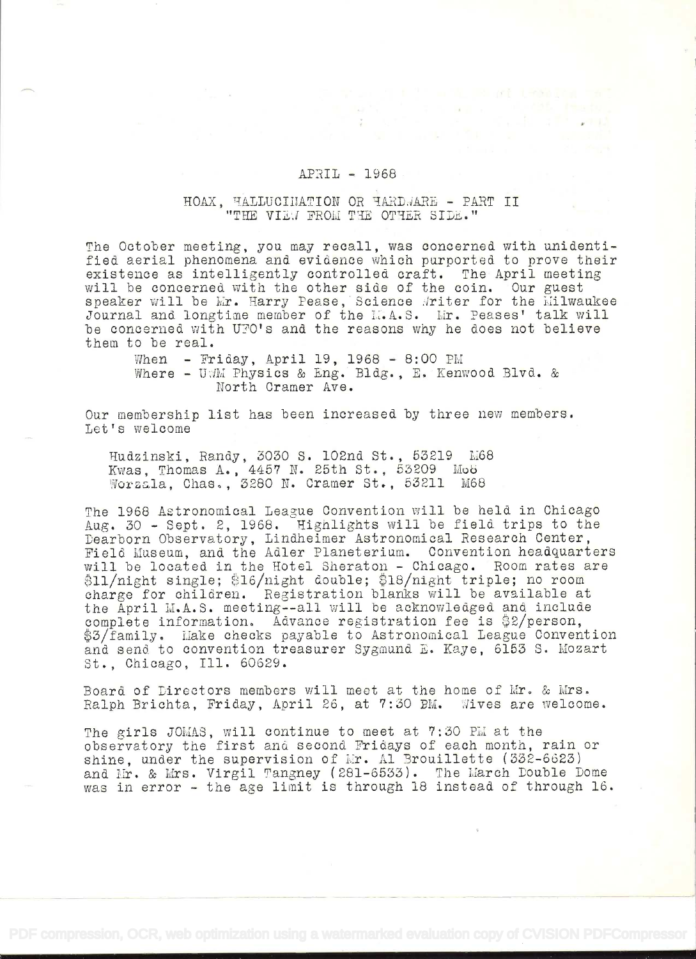## APRIL - 1966

a manazarta da manazarta da kuma da da kuma da da kuma da da kuma da kuma da kuma da kuma da kuma da kuma da k

## HOAX, HALLUCIMATION OR HARDJARE - PART II "THE VIEW FROM THE OTHER SIDE."

The October meeting, you may recall, was concerned with unidentified aerial phenomena and evidence which purported to prove their existence as intelligently controlled craft. The April meeting will be concerned with the other side of the coin. Our guest speaker will be Mr. Harry Pease, Science Writer for the Milwaukee Journal and longtime member of the L.A.S. Lir. Peases' talk will be concerned with UPO's and the reasons why he does not believe them to be real.

When - Friday, April 19, 1968 - 8:00 PM Where - UWM Physics & Eng. Bldg., E. Kenwood Blvd. & North Cramer Ave.

Our membership list has been increased by three new members. Let's welcome

Hudzinski, Randy, 3030 S. 102nd St., 53219 M68 Kwas, Thomas A., 4457 N. 25th St., 53209 Mo6 Worzala, Chas., 3280 N. Cramer St., 53211 M68

The 1968 Astronomical League Convention will be held in Chicago Aug. 30 - Sept. 2, 1968. Highlights will be field trips to the Dearborn Observatory, Lindheimer Astronomical Research Center, Field Museum, and the Adler Planeterium. Convention headquarters will be located in the Hotel Sheraton - Chicago. Room rates are \$11/night single; \$16/night double; \$18/night triple; no room charge for children. Registration blanks will be available at the April M.A.S. meeting--all will be acknowledged and include complete information. Advance registration fee is  $2$ /person, \$3/family. Make checks payable to Astronomical League Convention and send to convention treasurer Sygmund E. Kaye, 6153 S. Mozart St., Chicago, Ill. 60629.

Board of Directors members will meet at the home of Mr. & Mrs. Ralph Brichta, Friday, April 26, at 7:30 PM. Wives are welcome.

The girls JOMAS, will continue to meet at  $7:30$  PM at the observatory the first and second Fridays of each month, rain or shine, under the supervision of  $Mr.$  Al Brouillette (332-6623) and Mr. & Mrs. Virgil Tangney (281-6533). The March Double Dome was in error - the age limit is through 18 instead of through 16.